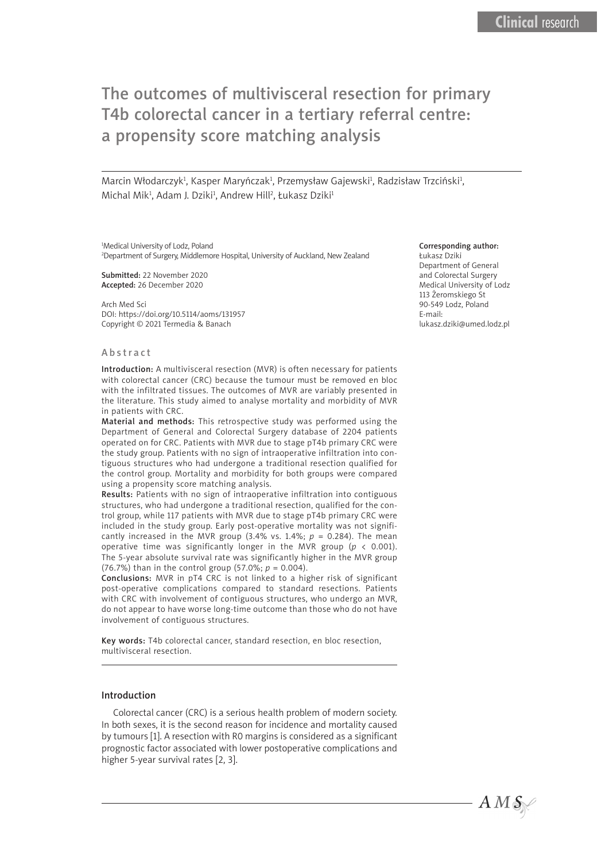# The outcomes of multivisceral resection for primary T4b colorectal cancer in a tertiary referral centre: a propensity score matching analysis

Marcin Włodarczyk<sup>1</sup>, Kasper Maryńczak<sup>1</sup>, Przemysław Gajewski<sup>1</sup>, Radzisław Trzciński<sup>1</sup>, Michal Mik<sup>1</sup>, Adam J. Dziki<sup>1</sup>, Andrew Hill<sup>2</sup>, Łukasz Dziki<sup>1</sup>

<sup>1</sup>Medical University of Lodz, Poland 2 Department of Surgery, Middlemore Hospital, University of Auckland, New Zealand

Submitted: 22 November 2020 Accepted: 26 December 2020

Arch Med Sci DOI: https://doi.org/10.5114/aoms/131957 Copyright © 2021 Termedia & Banach

#### Corresponding author:

Łukasz Dziki Department of General and Colorectal Surgery Medical University of Lodz 113 Żeromskiego St 90-549 Lodz, Poland E-mail: lukasz.dziki@umed.lodz.pl

 $AMS$ 

#### Abstract

Introduction: A multivisceral resection (MVR) is often necessary for patients with colorectal cancer (CRC) because the tumour must be removed en bloc with the infiltrated tissues. The outcomes of MVR are variably presented in the literature. This study aimed to analyse mortality and morbidity of MVR in patients with CRC.

Material and methods: This retrospective study was performed using the Department of General and Colorectal Surgery database of 2204 patients operated on for CRC. Patients with MVR due to stage pT4b primary CRC were the study group. Patients with no sign of intraoperative infiltration into contiguous structures who had undergone a traditional resection qualified for the control group. Mortality and morbidity for both groups were compared using a propensity score matching analysis.

Results: Patients with no sign of intraoperative infiltration into contiguous structures, who had undergone a traditional resection, qualified for the control group, while 117 patients with MVR due to stage pT4b primary CRC were included in the study group. Early post-operative mortality was not significantly increased in the MVR group  $(3.4\% \text{ vs. } 1.4\%; p = 0.284)$ . The mean operative time was significantly longer in the MVR group ( $p < 0.001$ ). The 5-year absolute survival rate was significantly higher in the MVR group (76.7%) than in the control group (57.0%; *p* = 0.004).

Conclusions: MVR in pT4 CRC is not linked to a higher risk of significant post-operative complications compared to standard resections. Patients with CRC with involvement of contiguous structures, who undergo an MVR, do not appear to have worse long-time outcome than those who do not have involvement of contiguous structures.

Key words: T4b colorectal cancer, standard resection, en bloc resection, multivisceral resection.

### Introduction

Colorectal cancer (CRC) is a serious health problem of modern society. In both sexes, it is the second reason for incidence and mortality caused by tumours [1]. A resection with R0 margins is considered as a significant prognostic factor associated with lower postoperative complications and higher 5-year survival rates [2, 3].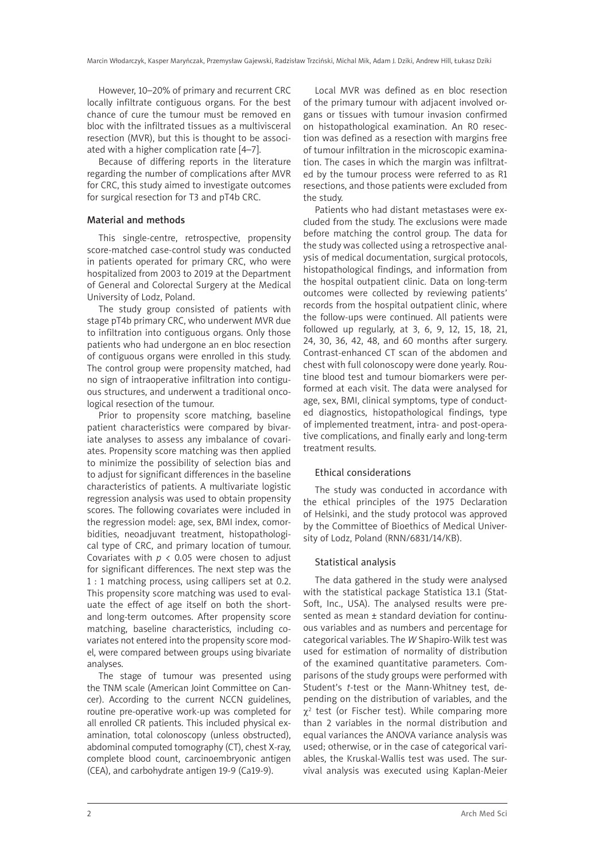However, 10–20% of primary and recurrent CRC locally infiltrate contiguous organs. For the best chance of cure the tumour must be removed en bloc with the infiltrated tissues as a multivisceral resection (MVR), but this is thought to be associated with a higher complication rate [4–7].

Because of differing reports in the literature regarding the number of complications after MVR for CRC, this study aimed to investigate outcomes for surgical resection for T3 and pT4b CRC.

## Material and methods

This single-centre, retrospective, propensity score-matched case-control study was conducted in patients operated for primary CRC, who were hospitalized from 2003 to 2019 at the Department of General and Colorectal Surgery at the Medical University of Lodz, Poland.

The study group consisted of patients with stage pT4b primary CRC, who underwent MVR due to infiltration into contiguous organs. Only those patients who had undergone an en bloc resection of contiguous organs were enrolled in this study. The control group were propensity matched, had no sign of intraoperative infiltration into contiguous structures, and underwent a traditional oncological resection of the tumour.

Prior to propensity score matching, baseline patient characteristics were compared by bivariate analyses to assess any imbalance of covariates. Propensity score matching was then applied to minimize the possibility of selection bias and to adjust for significant differences in the baseline characteristics of patients. A multivariate logistic regression analysis was used to obtain propensity scores. The following covariates were included in the regression model: age, sex, BMI index, comorbidities, neoadjuvant treatment, histopathological type of CRC, and primary location of tumour. Covariates with  $p < 0.05$  were chosen to adjust for significant differences. The next step was the 1 : 1 matching process, using callipers set at 0.2. This propensity score matching was used to evaluate the effect of age itself on both the shortand long-term outcomes. After propensity score matching, baseline characteristics, including covariates not entered into the propensity score model, were compared between groups using bivariate analyses.

The stage of tumour was presented using the TNM scale (American Joint Committee on Cancer). According to the current NCCN guidelines, routine pre-operative work-up was completed for all enrolled CR patients. This included physical examination, total colonoscopy (unless obstructed), abdominal computed tomography (CT), chest X-ray, complete blood count, carcinoembryonic antigen (CEA), and carbohydrate antigen 19-9 (Ca19-9).

Local MVR was defined as en bloc resection of the primary tumour with adjacent involved organs or tissues with tumour invasion confirmed on histopathological examination. An R0 resection was defined as a resection with margins free of tumour infiltration in the microscopic examination. The cases in which the margin was infiltrated by the tumour process were referred to as R1 resections, and those patients were excluded from the study.

Patients who had distant metastases were excluded from the study. The exclusions were made before matching the control group. The data for the study was collected using a retrospective analysis of medical documentation, surgical protocols, histopathological findings, and information from the hospital outpatient clinic. Data on long-term outcomes were collected by reviewing patients' records from the hospital outpatient clinic, where the follow-ups were continued. All patients were followed up regularly, at 3, 6, 9, 12, 15, 18, 21, 24, 30, 36, 42, 48, and 60 months after surgery. Contrast-enhanced CT scan of the abdomen and chest with full colonoscopy were done yearly. Routine blood test and tumour biomarkers were performed at each visit. The data were analysed for age, sex, BMI, clinical symptoms, type of conducted diagnostics, histopathological findings, type of implemented treatment, intra- and post-operative complications, and finally early and long-term treatment results.

## Ethical considerations

The study was conducted in accordance with the ethical principles of the 1975 Declaration of Helsinki, and the study protocol was approved by the Committee of Bioethics of Medical University of Lodz, Poland (RNN/6831/14/KB).

## Statistical analysis

The data gathered in the study were analysed with the statistical package Statistica 13.1 (Stat-Soft, Inc., USA). The analysed results were presented as mean ± standard deviation for continuous variables and as numbers and percentage for categorical variables. The *W* Shapiro-Wilk test was used for estimation of normality of distribution of the examined quantitative parameters. Comparisons of the study groups were performed with Student's *t*-test or the Mann-Whitney test, depending on the distribution of variables, and the  $\chi^2$  test (or Fischer test). While comparing more than 2 variables in the normal distribution and equal variances the ANOVA variance analysis was used; otherwise, or in the case of categorical variables, the Kruskal-Wallis test was used. The survival analysis was executed using Kaplan-Meier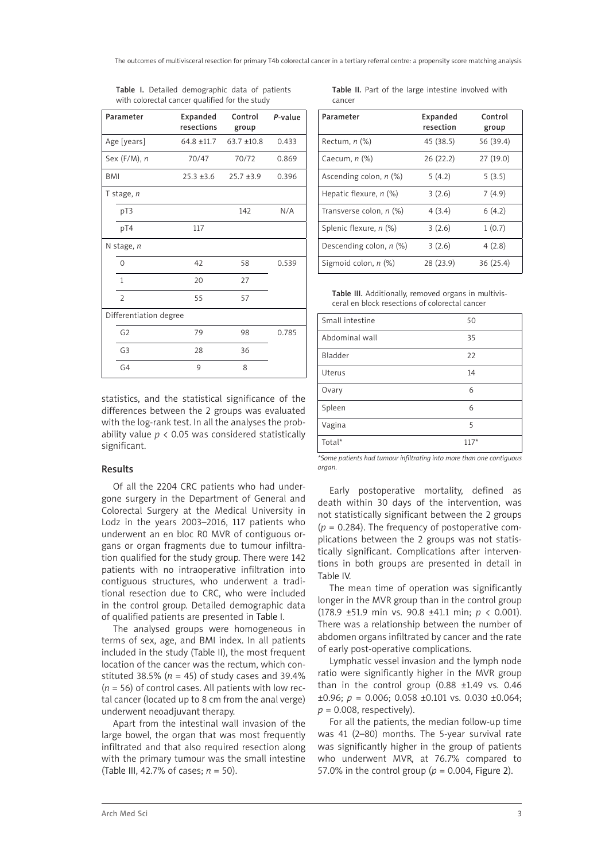| Parameter              | Expanded<br>resections | Control<br>group | P-value |
|------------------------|------------------------|------------------|---------|
| Age [years]            | $64.8 + 11.7$          | $63.7 + 10.8$    | 0.433   |
| Sex $(F/M)$ , n        | 70/47                  | 70/72            | 0.869   |
| <b>BMI</b>             | $25.3 \pm 3.6$         | $25.7 + 3.9$     | 0.396   |
| T stage, $n$           |                        |                  |         |
| pT3                    |                        | 142              | N/A     |
| pT4                    | 117                    |                  |         |
| N stage, n             |                        |                  |         |
| 0                      | 42                     | 58               | 0.539   |
| $\mathbf{1}$           | 20                     | 27               |         |
| $\overline{2}$         | 55                     | 57               |         |
| Differentiation degree |                        |                  |         |
| G <sub>2</sub>         | 79                     | 98               | 0.785   |
| G <sub>3</sub>         | 28                     | 36               |         |
| G4                     | 9                      | 8                |         |

Table I. Detailed demographic data of patients with colorectal cancer qualified for the study

statistics, and the statistical significance of the differences between the 2 groups was evaluated with the log-rank test. In all the analyses the probability value  $p < 0.05$  was considered statistically significant.

## Results

Of all the 2204 CRC patients who had undergone surgery in the Department of General and Colorectal Surgery at the Medical University in Lodz in the years 2003–2016, 117 patients who underwent an en bloc R0 MVR of contiguous organs or organ fragments due to tumour infiltration qualified for the study group. There were 142 patients with no intraoperative infiltration into contiguous structures, who underwent a traditional resection due to CRC, who were included in the control group. Detailed demographic data of qualified patients are presented in Table I.

The analysed groups were homogeneous in terms of sex, age, and BMI index. In all patients included in the study (Table II), the most frequent location of the cancer was the rectum, which constituted 38.5% ( $n = 45$ ) of study cases and 39.4% (*n* = 56) of control cases. All patients with low rectal cancer (located up to 8 cm from the anal verge) underwent neoadjuvant therapy.

Apart from the intestinal wall invasion of the large bowel, the organ that was most frequently infiltrated and that also required resection along with the primary tumour was the small intestine (Table III, 42.7% of cases; *n* = 50).

Table II. Part of the large intestine involved with cancer

| Parameter                 | Expanded<br>resection | Control<br>group |
|---------------------------|-----------------------|------------------|
| Rectum, $n$ $%$           | 45 (38.5)             | 56 (39.4)        |
| Caecum, $n$ $%$           | 26(22.2)              | 27(19.0)         |
| Ascending colon, $n$ (%)  | 5(4.2)                | 5(3.5)           |
| Hepatic flexure, $n$ (%)  | 3(2.6)                | 7(4.9)           |
| Transverse colon, $n$ (%) | 4(3.4)                | 6(4.2)           |
| Splenic flexure, n (%)    | 3(2.6)                | 1(0.7)           |
| Descending colon, $n$ (%) | 3(2.6)                | 4(2.8)           |
| Sigmoid colon, $n$ (%)    | 28 (23.9)             | 36 (25.4)        |

Table III. Additionally, removed organs in multivisceral en block resections of colorectal cancer

| Small intestine | 50     |
|-----------------|--------|
| Abdominal wall  | 35     |
| Bladder         | 22     |
| Uterus          | 14     |
| Ovary           | 6      |
| Spleen          | 6      |
| Vagina          | 5      |
| Total*          | $117*$ |

*\*Some patients had tumour infiltrating into more than one contiguous organ.*

Early postoperative mortality, defined as death within 30 days of the intervention, was not statistically significant between the 2 groups  $(p = 0.284)$ . The frequency of postoperative complications between the 2 groups was not statistically significant. Complications after interventions in both groups are presented in detail in Table IV.

The mean time of operation was significantly longer in the MVR group than in the control group (178.9 ±51.9 min vs. 90.8 ±41.1 min; *p* < 0.001). There was a relationship between the number of abdomen organs infiltrated by cancer and the rate of early post-operative complications.

Lymphatic vessel invasion and the lymph node ratio were significantly higher in the MVR group than in the control group  $(0.88 \pm 1.49 \text{ vs. } 0.46)$  $\pm 0.96$ ; *p* = 0.006; 0.058  $\pm 0.101$  vs. 0.030  $\pm 0.064$ ;  $p = 0.008$ , respectively).

For all the patients, the median follow-up time was 41 (2–80) months. The 5-year survival rate was significantly higher in the group of patients who underwent MVR, at 76.7% compared to 57.0% in the control group ( $p = 0.004$ , Figure 2).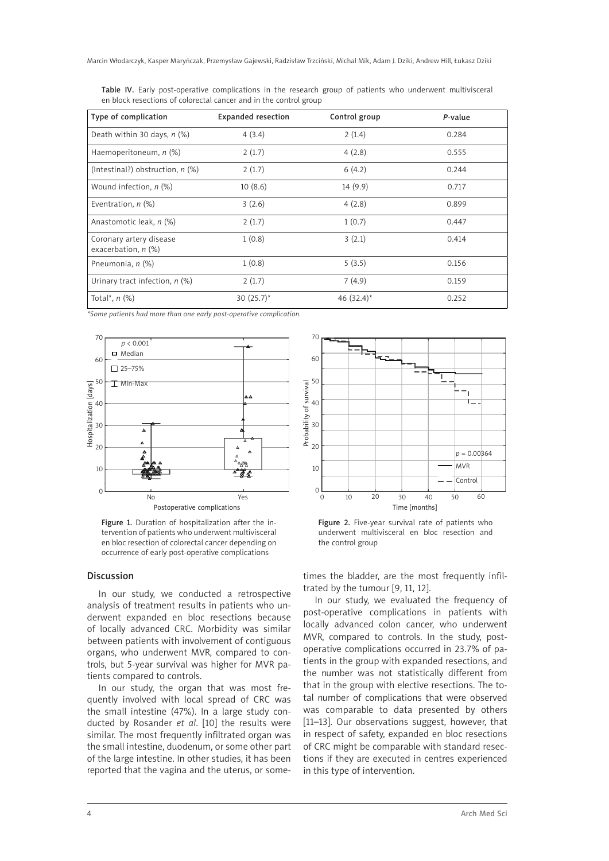| Table IV. Early post-operative complications in the research group of patients who underwent multivisceral |  |  |  |  |  |
|------------------------------------------------------------------------------------------------------------|--|--|--|--|--|
| en block resections of colorectal cancer and in the control group                                          |  |  |  |  |  |

| Type of complication                                | <b>Expanded resection</b> | Control group            | P-value |
|-----------------------------------------------------|---------------------------|--------------------------|---------|
| Death within 30 days, $n$ (%)                       | 4(3.4)                    | 2(1.4)                   | 0.284   |
| Haemoperitoneum, $n$ (%)                            | 2(1.7)                    | 4(2.8)                   | 0.555   |
| (Intestinal?) obstruction, $n$ (%)                  | 2(1.7)                    | 6(4.2)                   | 0.244   |
| Wound infection, $n$ (%)                            | 10(8.6)                   | 14(9.9)                  | 0.717   |
| Eventration, $n$ $%$                                | 3(2.6)                    | 4(2.8)                   | 0.899   |
| Anastomotic leak, n (%)                             | 2(1.7)                    | 1(0.7)                   | 0.447   |
| Coronary artery disease<br>exacerbation, $n$ $(\%)$ | 1(0.8)                    | 3(2.1)                   | 0.414   |
| Pneumonia, n (%)                                    | 1(0.8)                    | 5(3.5)                   | 0.156   |
| Urinary tract infection, $n$ (%)                    | 2(1.7)                    | 7(4.9)                   | 0.159   |
| Total*, $n$ (%)                                     | 30 $(25.7)^*$             | 46 $(32.4)$ <sup>*</sup> | 0.252   |

*\*Some patients had more than one early post-operative complication.*



Figure 1. Duration of hospitalization after the intervention of patients who underwent multivisceral en bloc resection of colorectal cancer depending on occurrence of early post-operative complications

#### Discussion

In our study, we conducted a retrospective analysis of treatment results in patients who underwent expanded en bloc resections because of locally advanced CRC. Morbidity was similar between patients with involvement of contiguous organs, who underwent MVR, compared to controls, but 5-year survival was higher for MVR patients compared to controls.

In our study, the organ that was most frequently involved with local spread of CRC was the small intestine (47%). In a large study conducted by Rosander *et al*. [10] the results were similar. The most frequently infiltrated organ was the small intestine, duodenum, or some other part of the large intestine. In other studies, it has been reported that the vagina and the uterus, or some-



Figure 2. Five-year survival rate of patients who underwent multivisceral en bloc resection and the control group

times the bladder, are the most frequently infiltrated by the tumour [9, 11, 12].

In our study, we evaluated the frequency of post-operative complications in patients with locally advanced colon cancer, who underwent MVR, compared to controls. In the study, postoperative complications occurred in 23.7% of patients in the group with expanded resections, and the number was not statistically different from that in the group with elective resections. The total number of complications that were observed was comparable to data presented by others [11–13]. Our observations suggest, however, that in respect of safety, expanded en bloc resections of CRC might be comparable with standard resections if they are executed in centres experienced in this type of intervention.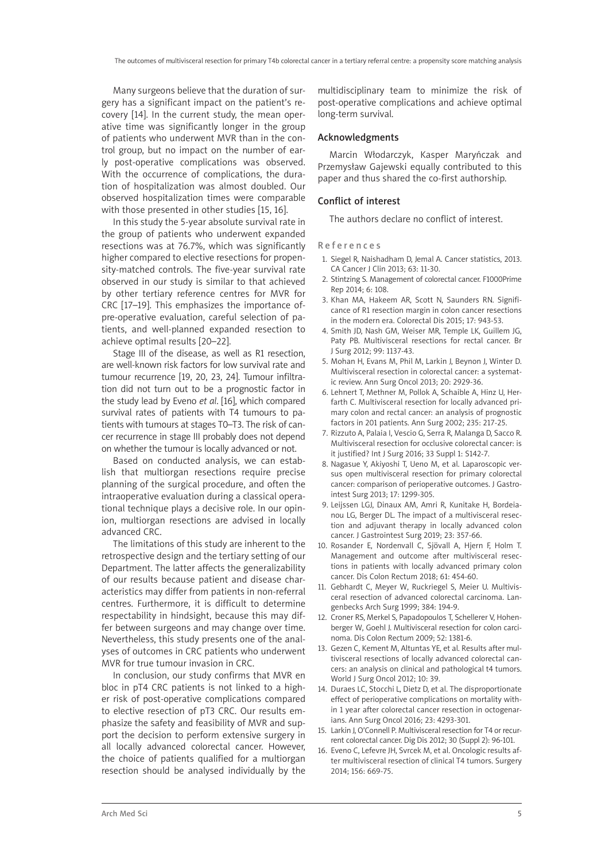Many surgeons believe that the duration of surgery has a significant impact on the patient's recovery [14]. In the current study, the mean operative time was significantly longer in the group of patients who underwent MVR than in the control group, but no impact on the number of early post-operative complications was observed. With the occurrence of complications, the duration of hospitalization was almost doubled. Our observed hospitalization times were comparable with those presented in other studies [15, 16].

In this study the 5-year absolute survival rate in the group of patients who underwent expanded resections was at 76.7%, which was significantly higher compared to elective resections for propensity-matched controls. The five-year survival rate observed in our study is similar to that achieved by other tertiary reference centres for MVR for CRC [17–19]. This emphasizes the importance ofpre-operative evaluation, careful selection of patients, and well-planned expanded resection to achieve optimal results [20–22].

Stage III of the disease, as well as R1 resection, are well-known risk factors for low survival rate and tumour recurrence [19, 20, 23, 24]. Tumour infiltration did not turn out to be a prognostic factor in the study lead by Eveno *et al*. [16], which compared survival rates of patients with T4 tumours to patients with tumours at stages T0–T3. The risk of cancer recurrence in stage III probably does not depend on whether the tumour is locally advanced or not.

Based on conducted analysis, we can establish that multiorgan resections require precise planning of the surgical procedure, and often the intraoperative evaluation during a classical operational technique plays a decisive role. In our opinion, multiorgan resections are advised in locally advanced CRC.

The limitations of this study are inherent to the retrospective design and the tertiary setting of our Department. The latter affects the generalizability of our results because patient and disease characteristics may differ from patients in non-referral centres. Furthermore, it is difficult to determine respectability in hindsight, because this may differ between surgeons and may change over time. Nevertheless, this study presents one of the analyses of outcomes in CRC patients who underwent MVR for true tumour invasion in CRC.

In conclusion, our study confirms that MVR en bloc in pT4 CRC patients is not linked to a higher risk of post-operative complications compared to elective resection of pT3 CRC. Our results emphasize the safety and feasibility of MVR and support the decision to perform extensive surgery in all locally advanced colorectal cancer. However, the choice of patients qualified for a multiorgan resection should be analysed individually by the multidisciplinary team to minimize the risk of post-operative complications and achieve optimal long-term survival.

#### Acknowledgments

Marcin Włodarczyk, Kasper Maryńczak and Przemysław Gajewski equally contributed to this paper and thus shared the co-first authorship.

### Conflict of interest

The authors declare no conflict of interest.

#### References

- 1. Siegel R, Naishadham D, Jemal A. Cancer statistics, 2013. CA Cancer J Clin 2013; 63: 11-30.
- 2. Stintzing S. Management of colorectal cancer. F1000Prime Rep 2014; 6: 108.
- 3. Khan MA, Hakeem AR, Scott N, Saunders RN. Significance of R1 resection margin in colon cancer resections in the modern era. Colorectal Dis 2015; 17: 943-53.
- 4. Smith JD, Nash GM, Weiser MR, Temple LK, Guillem JG, Paty PB. Multivisceral resections for rectal cancer. Br J Surg 2012; 99: 1137-43.
- 5. Mohan H, Evans M, Phil M, Larkin J, Beynon J, Winter D. Multivisceral resection in colorectal cancer: a systematic review. Ann Surg Oncol 2013; 20: 2929-36.
- 6. Lehnert T, Methner M, Pollok A, Schaible A, Hinz U, Herfarth C. Multivisceral resection for locally advanced primary colon and rectal cancer: an analysis of prognostic factors in 201 patients. Ann Surg 2002; 235: 217-25.
- 7. Rizzuto A, Palaia I, Vescio G, Serra R, Malanga D, Sacco R. Multivisceral resection for occlusive colorectal cancer: is it justified? Int J Surg 2016; 33 Suppl 1: S142-7.
- 8. Nagasue Y, Akiyoshi T, Ueno M, et al. Laparoscopic versus open multivisceral resection for primary colorectal cancer: comparison of perioperative outcomes. J Gastrointest Surg 2013; 17: 1299-305.
- 9. Leijssen LGJ, Dinaux AM, Amri R, Kunitake H, Bordeianou LG, Berger DL. The impact of a multivisceral resection and adjuvant therapy in locally advanced colon cancer. J Gastrointest Surg 2019; 23: 357-66.
- 10. Rosander E, Nordenvall C, Sjövall A, Hjern F, Holm T. Management and outcome after multivisceral resections in patients with locally advanced primary colon cancer. Dis Colon Rectum 2018; 61: 454-60.
- 11. Gebhardt C, Meyer W, Ruckriegel S, Meier U. Multivisceral resection of advanced colorectal carcinoma. Langenbecks Arch Surg 1999; 384: 194-9.
- 12. Croner RS, Merkel S, Papadopoulos T, Schellerer V, Hohenberger W, Goehl J. Multivisceral resection for colon carcinoma. Dis Colon Rectum 2009; 52: 1381-6.
- 13. Gezen C, Kement M, Altuntas YE, et al. Results after multivisceral resections of locally advanced colorectal cancers: an analysis on clinical and pathological t4 tumors. World J Surg Oncol 2012; 10: 39.
- 14. Duraes LC, Stocchi L, Dietz D, et al. The disproportionate effect of perioperative complications on mortality within 1 year after colorectal cancer resection in octogenarians. Ann Surg Oncol 2016; 23: 4293-301.
- 15. Larkin J, O'Connell P. Multivisceral resection for T4 or recurrent colorectal cancer. Dig Dis 2012; 30 (Suppl 2): 96-101.
- 16. Eveno C, Lefevre JH, Svrcek M, et al. Oncologic results after multivisceral resection of clinical T4 tumors. Surgery 2014; 156: 669-75.